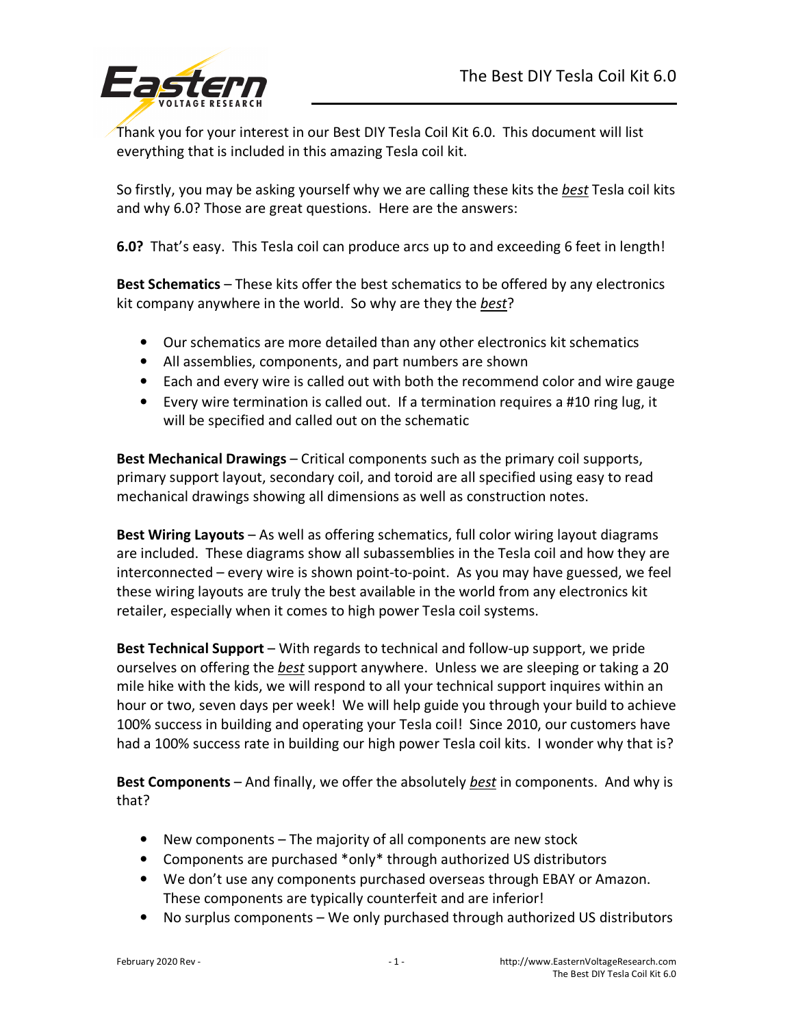

Thank you for your interest in our Best DIY Tesla Coil Kit 6.0. This document will list everything that is included in this amazing Tesla coil kit.

So firstly, you may be asking yourself why we are calling these kits the *best* Tesla coil kits and why 6.0? Those are great questions. Here are the answers:

**6.0?** That's easy. This Tesla coil can produce arcs up to and exceeding 6 feet in length!

**Best Schematics** – These kits offer the best schematics to be offered by any electronics kit company anywhere in the world. So why are they the *best*?

- Our schematics are more detailed than any other electronics kit schematics
- All assemblies, components, and part numbers are shown
- Each and every wire is called out with both the recommend color and wire gauge
- Every wire termination is called out. If a termination requires a #10 ring lug, it will be specified and called out on the schematic

**Best Mechanical Drawings** – Critical components such as the primary coil supports, primary support layout, secondary coil, and toroid are all specified using easy to read mechanical drawings showing all dimensions as well as construction notes.

**Best Wiring Layouts** – As well as offering schematics, full color wiring layout diagrams are included. These diagrams show all subassemblies in the Tesla coil and how they are interconnected – every wire is shown point-to-point. As you may have guessed, we feel these wiring layouts are truly the best available in the world from any electronics kit retailer, especially when it comes to high power Tesla coil systems.

**Best Technical Support** – With regards to technical and follow-up support, we pride ourselves on offering the *best* support anywhere. Unless we are sleeping or taking a 20 mile hike with the kids, we will respond to all your technical support inquires within an hour or two, seven days per week! We will help guide you through your build to achieve 100% success in building and operating your Tesla coil! Since 2010, our customers have had a 100% success rate in building our high power Tesla coil kits. I wonder why that is?

**Best Components** – And finally, we offer the absolutely *best* in components. And why is that?

- New components The majority of all components are new stock
- Components are purchased \*only\* through authorized US distributors
- We don't use any components purchased overseas through EBAY or Amazon. These components are typically counterfeit and are inferior!
- No surplus components We only purchased through authorized US distributors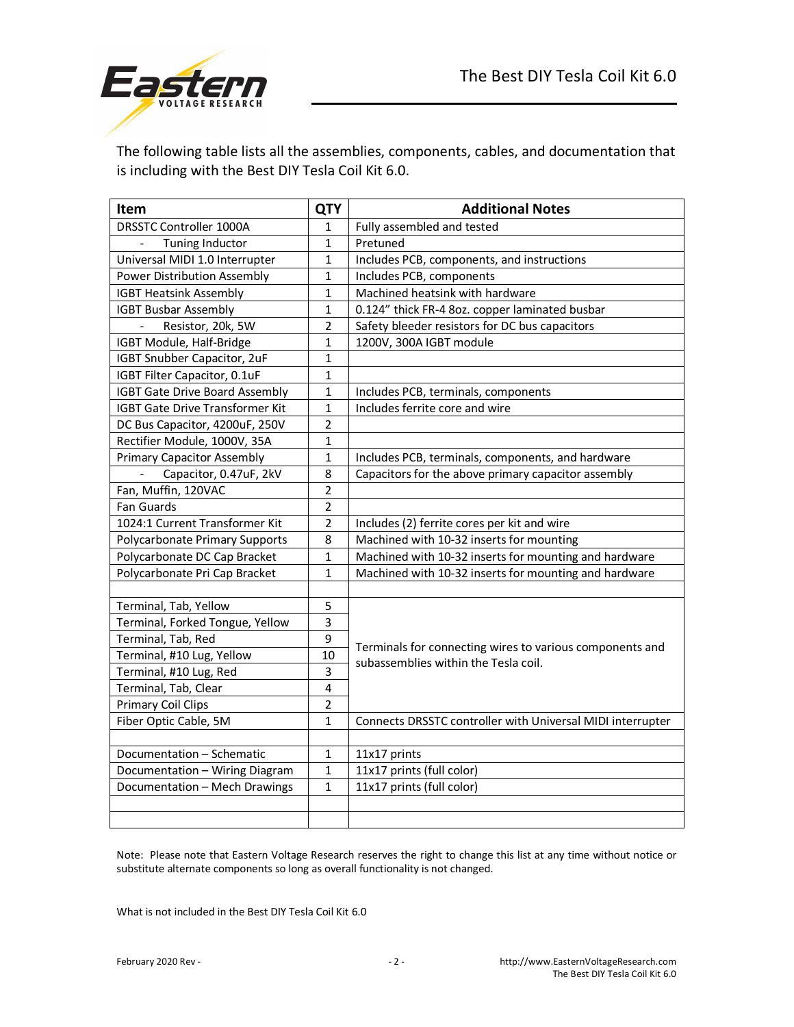

The following table lists all the assemblies, components, cables, and documentation that is including with the Best DIY Tesla Coil Kit 6.0.

| Item                                     | <b>QTY</b>     | <b>Additional Notes</b>                                                                          |
|------------------------------------------|----------------|--------------------------------------------------------------------------------------------------|
| <b>DRSSTC Controller 1000A</b>           | 1              | Fully assembled and tested                                                                       |
| Tuning Inductor                          | $\mathbf{1}$   | Pretuned                                                                                         |
| Universal MIDI 1.0 Interrupter           | 1              | Includes PCB, components, and instructions                                                       |
| <b>Power Distribution Assembly</b>       | $\mathbf{1}$   | Includes PCB, components                                                                         |
| <b>IGBT Heatsink Assembly</b>            | $\mathbf{1}$   | Machined heatsink with hardware                                                                  |
| <b>IGBT Busbar Assembly</b>              | $\mathbf{1}$   | 0.124" thick FR-4 8oz. copper laminated busbar                                                   |
| Resistor, 20k, 5W                        | $\overline{2}$ | Safety bleeder resistors for DC bus capacitors                                                   |
| IGBT Module, Half-Bridge                 | $\mathbf{1}$   | 1200V, 300A IGBT module                                                                          |
| IGBT Snubber Capacitor, 2uF              | $\mathbf{1}$   |                                                                                                  |
| IGBT Filter Capacitor, 0.1uF             | $\mathbf{1}$   |                                                                                                  |
| <b>IGBT Gate Drive Board Assembly</b>    | $\mathbf{1}$   | Includes PCB, terminals, components                                                              |
| <b>IGBT Gate Drive Transformer Kit</b>   | $\mathbf{1}$   | Includes ferrite core and wire                                                                   |
| DC Bus Capacitor, 4200uF, 250V           | $\overline{2}$ |                                                                                                  |
| Rectifier Module, 1000V, 35A             | $\mathbf{1}$   |                                                                                                  |
| <b>Primary Capacitor Assembly</b>        | $\mathbf{1}$   | Includes PCB, terminals, components, and hardware                                                |
| Capacitor, 0.47uF, 2kV<br>$\overline{a}$ | 8              | Capacitors for the above primary capacitor assembly                                              |
| Fan, Muffin, 120VAC                      | $\overline{2}$ |                                                                                                  |
| Fan Guards                               | 2              |                                                                                                  |
| 1024:1 Current Transformer Kit           | $\overline{2}$ | Includes (2) ferrite cores per kit and wire                                                      |
| Polycarbonate Primary Supports           | 8              | Machined with 10-32 inserts for mounting                                                         |
| Polycarbonate DC Cap Bracket             | 1              | Machined with 10-32 inserts for mounting and hardware                                            |
| Polycarbonate Pri Cap Bracket            | $\mathbf{1}$   | Machined with 10-32 inserts for mounting and hardware                                            |
|                                          |                |                                                                                                  |
| Terminal, Tab, Yellow                    | 5              | Terminals for connecting wires to various components and<br>subassemblies within the Tesla coil. |
| Terminal, Forked Tongue, Yellow          | 3              |                                                                                                  |
| Terminal, Tab, Red                       | 9              |                                                                                                  |
| Terminal, #10 Lug, Yellow                | 10             |                                                                                                  |
| Terminal, #10 Lug, Red                   | 3              |                                                                                                  |
| Terminal, Tab, Clear                     | $\overline{4}$ |                                                                                                  |
| <b>Primary Coil Clips</b>                | $\overline{2}$ |                                                                                                  |
| Fiber Optic Cable, 5M                    | $\mathbf{1}$   | Connects DRSSTC controller with Universal MIDI interrupter                                       |
|                                          |                |                                                                                                  |
| Documentation - Schematic                | 1              | 11x17 prints                                                                                     |
| Documentation - Wiring Diagram           | $\mathbf 1$    | 11x17 prints (full color)                                                                        |
| Documentation - Mech Drawings            | $\mathbf{1}$   | 11x17 prints (full color)                                                                        |
|                                          |                |                                                                                                  |
|                                          |                |                                                                                                  |

Note: Please note that Eastern Voltage Research reserves the right to change this list at any time without notice or substitute alternate components so long as overall functionality is not changed.

What is not included in the Best DIY Tesla Coil Kit 6.0